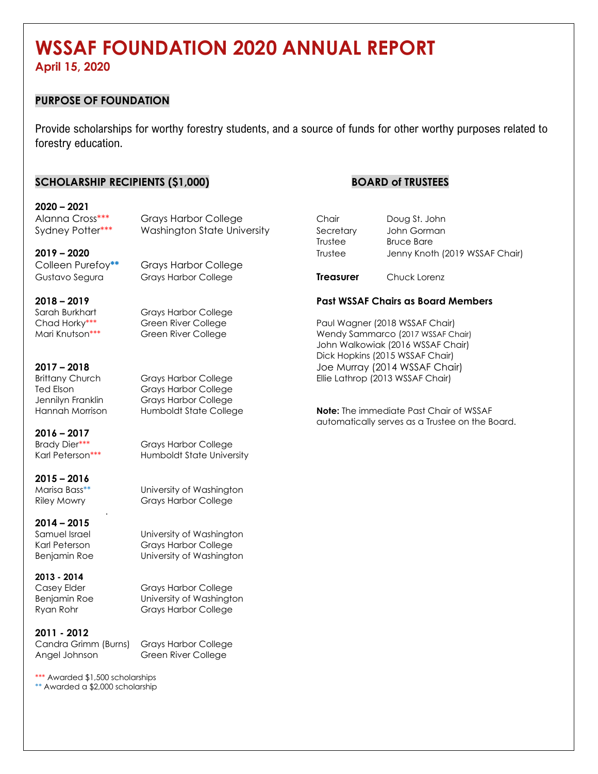# **WSSAF FOUNDATION 2020 ANNUAL REPORT**

**April 15, 2020**

#### **PURPOSE OF FOUNDATION**

Provide scholarships for worthy forestry students, and a source of funds for other worthy purposes related to forestry education.

#### **SCHOLARSHIP RECIPIENTS (\$1,000) BOARD of TRUSTEES**

#### **2020 – 2021** Alanna Cross\*\*\* Grays Harbor College

Colleen Purefoy**\*\*** Grays Harbor College

Sarah Burkhart Grays Harbor College

Ted Elson Grays Harbor College

Jennilyn Franklin Grays Harbor College

#### **2016 – 2017** Brady Dier\*\*\* Grays Harbor College

Karl Peterson\*\*\* Humboldt State University

**2015 – 2016**

Marisa Bass\*\* University of Washington Riley Mowry Grays Harbor College

#### **2014 – 2015**

Samuel Israel **University of Washington** Karl Peterson Grays Harbor College Benjamin Roe University of Washington

**2013 - 2014**

Casey Elder Grays Harbor College Benjamin Roe University of Washington Ryan Rohr Grays Harbor College

**2011 - 2012** Candra Grimm (Burns) Grays Harbor College

.

Angel Johnson Green River College

\*\*\* Awarded \$1,500 scholarships \*\* Awarded a \$2,000 scholarship

| Alanna Cross***  | Grays Harbor College        | Chair     | Doug St. John                  |
|------------------|-----------------------------|-----------|--------------------------------|
| Sydney Potter*** | Washington State University | Secretary | John Gorman                    |
|                  |                             | Trustee   | Bruce Bare                     |
| 2019 – 2020      |                             | Trustee   | Jenny Knoth (2019 WSSAF Chair) |
|                  |                             |           |                                |

Gustavo Segura Grays Harbor College **Treasurer** Chuck Lorenz

#### **2018 – 2019 Past WSSAF Chairs as Board Members**

Chad Horky\*\*\* **Changer Green River College** Paul Wagner (2018 WSSAF Chair) Mari Knutson\*\*\* **Green River College Wendy Sammarco (2017 WSSAF Chair)** John Walkowiak (2016 WSSAF Chair) Dick Hopkins (2015 WSSAF Chair) **2017 – 2018** Joe Murray (2014 WSSAF Chair) Brittany Church Grays Harbor College Ellie Lathrop (2013 WSSAF Chair)

Hannah Morrison Humboldt State College **Note:** The immediate Past Chair of WSSAF automatically serves as a Trustee on the Board.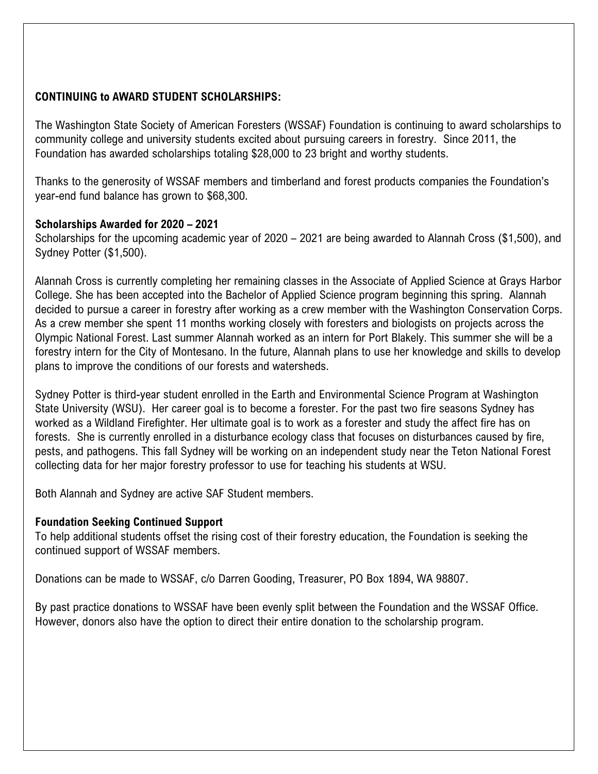## **CONTINUING to AWARD STUDENT SCHOLARSHIPS:**

The Washington State Society of American Foresters (WSSAF) Foundation is continuing to award scholarships to community college and university students excited about pursuing careers in forestry. Since 2011, the Foundation has awarded scholarships totaling \$28,000 to 23 bright and worthy students.

Thanks to the generosity of WSSAF members and timberland and forest products companies the Foundation's year-end fund balance has grown to \$68,300.

### **Scholarships Awarded for 2020 – 2021**

Scholarships for the upcoming academic year of 2020 – 2021 are being awarded to Alannah Cross (\$1,500), and Sydney Potter (\$1,500).

Alannah Cross is currently completing her remaining classes in the Associate of Applied Science at Grays Harbor College. She has been accepted into the Bachelor of Applied Science program beginning this spring. Alannah decided to pursue a career in forestry after working as a crew member with the Washington Conservation Corps. As a crew member she spent 11 months working closely with foresters and biologists on projects across the Olympic National Forest. Last summer Alannah worked as an intern for Port Blakely. This summer she will be a forestry intern for the City of Montesano. In the future, Alannah plans to use her knowledge and skills to develop plans to improve the conditions of our forests and watersheds.

Sydney Potter is third-year student enrolled in the Earth and Environmental Science Program at Washington State University (WSU). Her career goal is to become a forester. For the past two fire seasons Sydney has worked as a Wildland Firefighter. Her ultimate goal is to work as a forester and study the affect fire has on forests. She is currently enrolled in a disturbance ecology class that focuses on disturbances caused by fire, pests, and pathogens. This fall Sydney will be working on an independent study near the Teton National Forest collecting data for her major forestry professor to use for teaching his students at WSU.

Both Alannah and Sydney are active SAF Student members.

#### **Foundation Seeking Continued Support**

To help additional students offset the rising cost of their forestry education, the Foundation is seeking the continued support of WSSAF members.

Donations can be made to WSSAF, c/o Darren Gooding, Treasurer, PO Box 1894, WA 98807.

By past practice donations to WSSAF have been evenly split between the Foundation and the WSSAF Office. However, donors also have the option to direct their entire donation to the scholarship program.